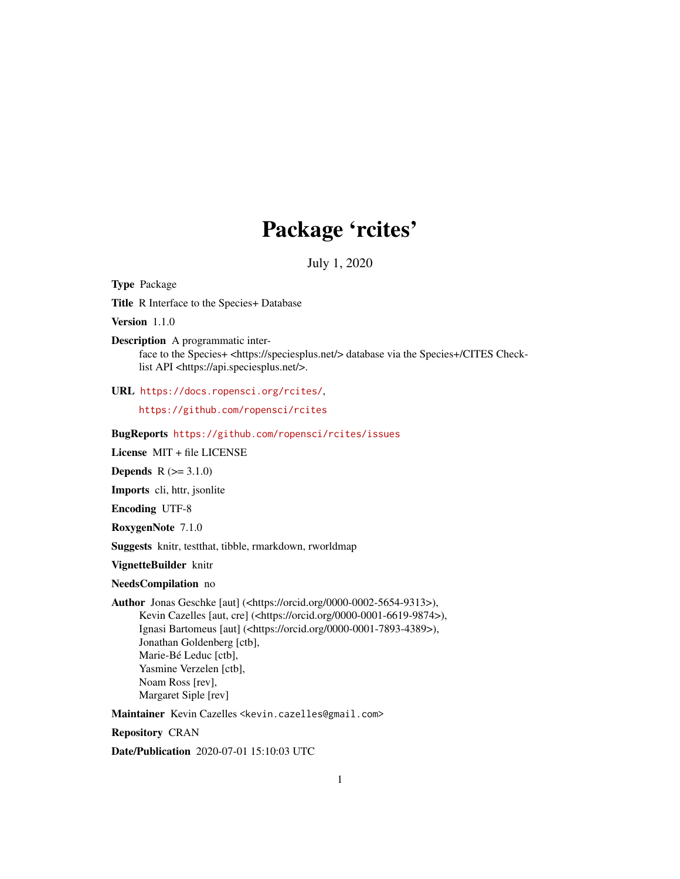## Package 'rcites'

July 1, 2020

<span id="page-0-0"></span>Type Package

Title R Interface to the Species+ Database

Version 1.1.0

Description A programmatic interface to the Species+ <https://speciesplus.net/> database via the Species+/CITES Checklist API <https://api.speciesplus.net/>.

URL <https://docs.ropensci.org/rcites/>,

<https://github.com/ropensci/rcites>

BugReports <https://github.com/ropensci/rcites/issues>

License MIT + file LICENSE

**Depends**  $R (= 3.1.0)$ 

Imports cli, httr, jsonlite

Encoding UTF-8

RoxygenNote 7.1.0

Suggests knitr, testthat, tibble, rmarkdown, rworldmap

VignetteBuilder knitr

NeedsCompilation no

Author Jonas Geschke [aut] (<https://orcid.org/0000-0002-5654-9313>), Kevin Cazelles [aut, cre] (<https://orcid.org/0000-0001-6619-9874>), Ignasi Bartomeus [aut] (<https://orcid.org/0000-0001-7893-4389>), Jonathan Goldenberg [ctb], Marie-Bé Leduc [ctb], Yasmine Verzelen [ctb], Noam Ross [rev], Margaret Siple [rev]

Maintainer Kevin Cazelles <kevin.cazelles@gmail.com>

Repository CRAN

Date/Publication 2020-07-01 15:10:03 UTC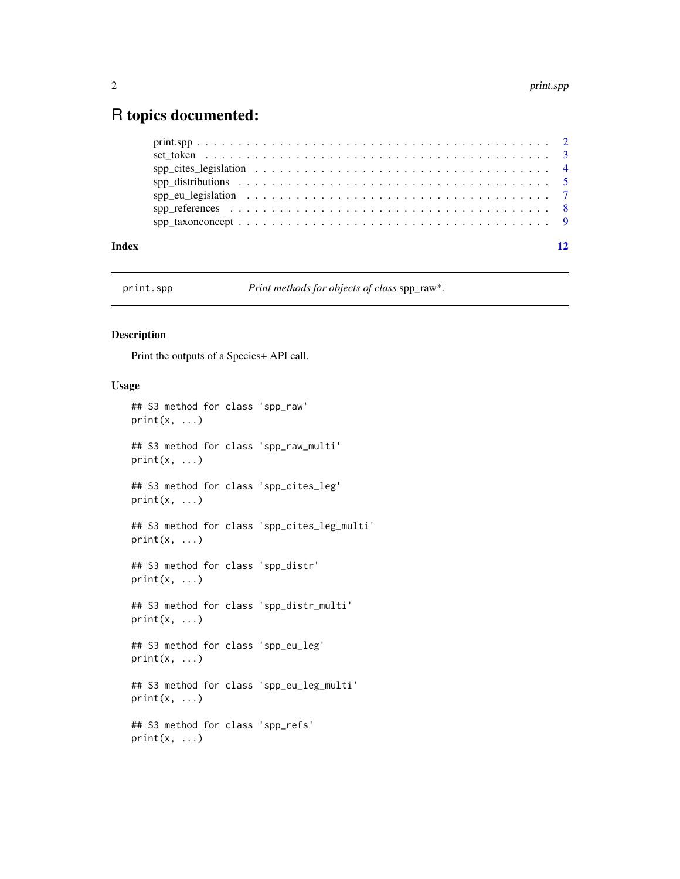### <span id="page-1-0"></span>R topics documented:

| Index | 12 |
|-------|----|
|       |    |
|       |    |
|       |    |
|       |    |
|       |    |
|       |    |
|       |    |

print.spp *Print methods for objects of class* spp\_raw\**.*

#### Description

Print the outputs of a Species+ API call.

#### Usage

```
## S3 method for class 'spp_raw'
print(x, ...)
## S3 method for class 'spp_raw_multi'
print(x, \ldots)## S3 method for class 'spp_cites_leg'
print(x, \ldots)## S3 method for class 'spp_cites_leg_multi'
print(x, \ldots)## S3 method for class 'spp_distr'
print(x, \ldots)## S3 method for class 'spp_distr_multi'
print(x, ...)
## S3 method for class 'spp_eu_leg'
print(x, ...)
## S3 method for class 'spp_eu_leg_multi'
print(x, \ldots)## S3 method for class 'spp_refs'
print(x, \ldots)
```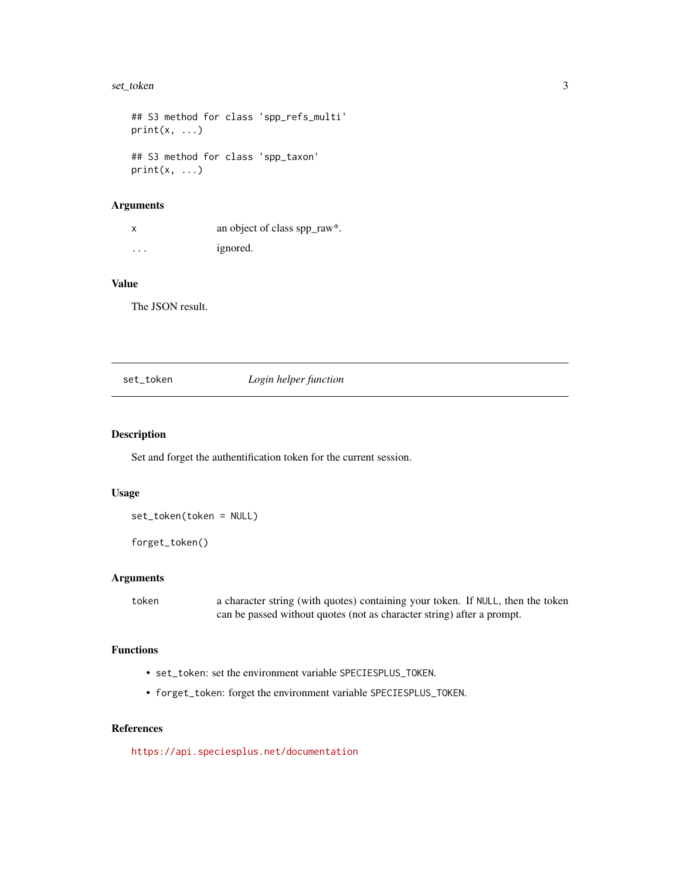#### <span id="page-2-0"></span>set\_token 3

```
## S3 method for class 'spp_refs_multi'
print(x, \ldots)## S3 method for class 'spp_taxon'
print(x, \ldots)
```
#### Arguments

|   | an object of class spp_raw*. |
|---|------------------------------|
| . | ignored.                     |

#### Value

The JSON result.

#### <span id="page-2-1"></span>set\_token *Login helper function*

#### Description

Set and forget the authentification token for the current session.

#### Usage

set\_token(token = NULL)

forget\_token()

#### Arguments

token a character string (with quotes) containing your token. If NULL, then the token can be passed without quotes (not as character string) after a prompt.

#### Functions

- set\_token: set the environment variable SPECIESPLUS\_TOKEN.
- forget\_token: forget the environment variable SPECIESPLUS\_TOKEN.

#### References

<https://api.speciesplus.net/documentation>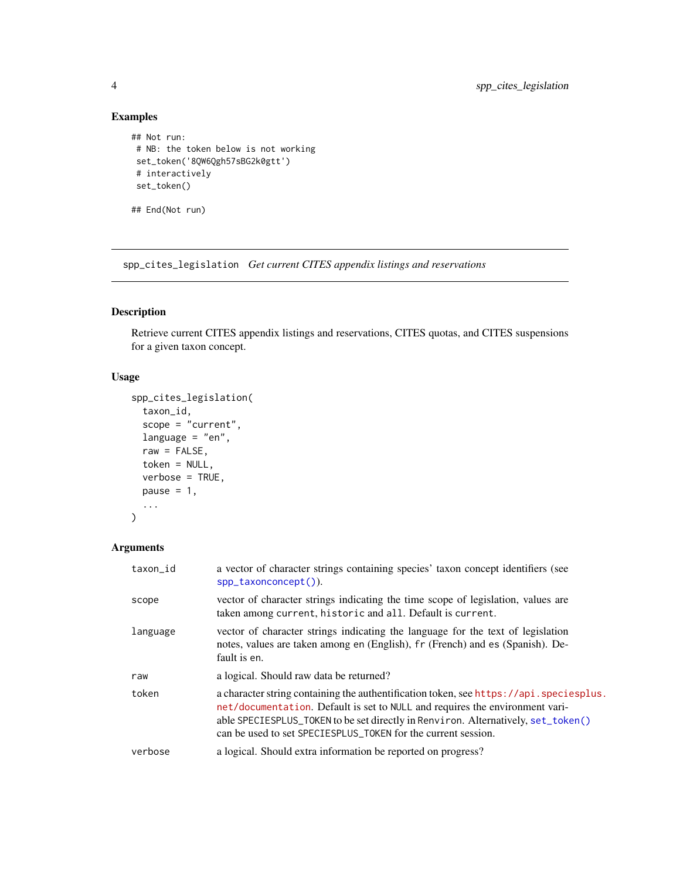#### Examples

```
## Not run:
# NB: the token below is not working
set_token('8QW6Qgh57sBG2k0gtt')
# interactively
set_token()
```
## End(Not run)

spp\_cites\_legislation *Get current CITES appendix listings and reservations*

#### Description

Retrieve current CITES appendix listings and reservations, CITES quotas, and CITES suspensions for a given taxon concept.

#### Usage

```
spp_cites_legislation(
  taxon_id,
  scope = "current",
 language = "en",raw = FALSE,
  token = NULL,
 verbose = TRUE,
 pause = 1,
  ...
)
```
#### Arguments

| taxon_id | a vector of character strings containing species' taxon concept identifiers (see<br>spp_taxonconcept()).                                                                                                                                                                                                                     |
|----------|------------------------------------------------------------------------------------------------------------------------------------------------------------------------------------------------------------------------------------------------------------------------------------------------------------------------------|
| scope    | vector of character strings indicating the time scope of legislation, values are<br>taken among current, historic and all. Default is current.                                                                                                                                                                               |
| language | vector of character strings indicating the language for the text of legislation<br>notes, values are taken among en (English), fr (French) and es (Spanish). De-<br>fault is en.                                                                                                                                             |
| raw      | a logical. Should raw data be returned?                                                                                                                                                                                                                                                                                      |
| token    | a character string containing the authentification token, see https://api.speciesplus.<br>net/documentation. Default is set to NULL and requires the environment vari-<br>able SPECIESPLUS_TOKEN to be set directly in Renviron. Alternatively, set_token()<br>can be used to set SPECIESPLUS_TOKEN for the current session. |
| verbose  | a logical. Should extra information be reported on progress?                                                                                                                                                                                                                                                                 |
|          |                                                                                                                                                                                                                                                                                                                              |

<span id="page-3-0"></span>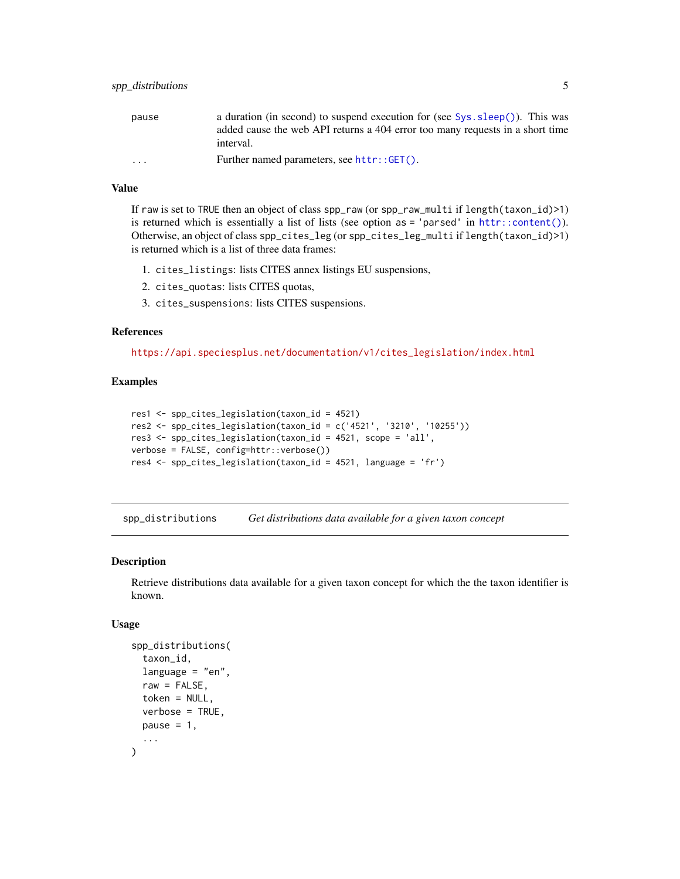<span id="page-4-0"></span>

| pause                   | a duration (in second) to suspend execution for (see $Sys \text{ .} sleep()$ ). This was |
|-------------------------|------------------------------------------------------------------------------------------|
|                         | added cause the web API returns a 404 error too many requests in a short time            |
|                         | interval.                                                                                |
| $\cdot$ $\cdot$ $\cdot$ | Further named parameters, see httr::GET().                                               |

#### Value

If raw is set to TRUE then an object of class spp\_raw (or spp\_raw\_multi if length(taxon\_id)>1) is returned which is essentially a list of lists (see option as = 'parsed' in [httr::content\(\)](#page-0-0)). Otherwise, an object of class spp\_cites\_leg (or spp\_cites\_leg\_multi if length(taxon\_id)>1) is returned which is a list of three data frames:

- 1. cites\_listings: lists CITES annex listings EU suspensions,
- 2. cites\_quotas: lists CITES quotas,
- 3. cites\_suspensions: lists CITES suspensions.

#### References

[https://api.speciesplus.net/documentation/v1/cites\\_legislation/index.html](https://api.speciesplus.net/documentation/v1/cites_legislation/index.html)

#### Examples

```
res1 <- spp_cites_legislation(taxon_id = 4521)
res2 <- spp_cites_legislation(taxon_id = c('4521', '3210', '10255'))
res3 <- spp_cites_legislation(taxon_id = 4521, scope = 'all',
verbose = FALSE, config=httr::verbose())
res4 <- spp_cites_legislation(taxon_id = 4521, language = 'fr')
```
spp\_distributions *Get distributions data available for a given taxon concept*

#### Description

Retrieve distributions data available for a given taxon concept for which the the taxon identifier is known.

#### Usage

```
spp_distributions(
  taxon_id,
  language = "en",
  raw = FALSE,
  token = NULL,
  verbose = TRUE,
 pause = 1,
  ...
)
```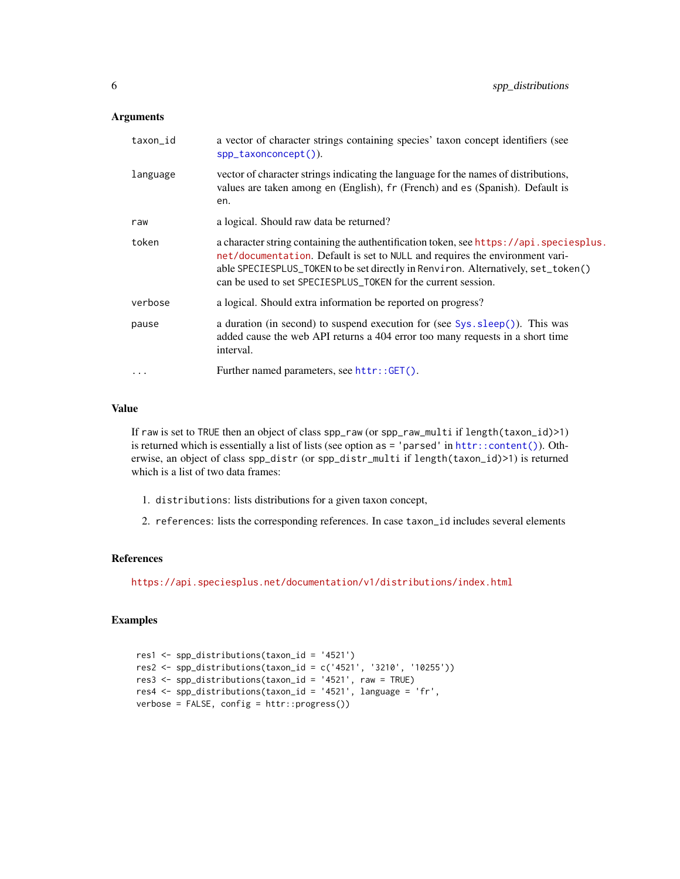#### <span id="page-5-0"></span>Arguments

| taxon_id | a vector of character strings containing species' taxon concept identifiers (see<br>spp_taxonconcept()).                                                                                                                                                                                                                     |
|----------|------------------------------------------------------------------------------------------------------------------------------------------------------------------------------------------------------------------------------------------------------------------------------------------------------------------------------|
| language | vector of character strings indicating the language for the names of distributions,<br>values are taken among en (English), fr (French) and es (Spanish). Default is<br>en.                                                                                                                                                  |
| raw      | a logical. Should raw data be returned?                                                                                                                                                                                                                                                                                      |
| token    | a character string containing the authentification token, see https://api.speciesplus.<br>net/documentation. Default is set to NULL and requires the environment vari-<br>able SPECIESPLUS_TOKEN to be set directly in Renviron. Alternatively, set_token()<br>can be used to set SPECIESPLUS_TOKEN for the current session. |
| verbose  | a logical. Should extra information be reported on progress?                                                                                                                                                                                                                                                                 |
| pause    | a duration (in second) to suspend execution for (see Sys. sleep()). This was<br>added cause the web API returns a 404 error too many requests in a short time<br>interval.                                                                                                                                                   |
| $\cdots$ | Further named parameters, see httr::GET().                                                                                                                                                                                                                                                                                   |

#### Value

If raw is set to TRUE then an object of class spp\_raw (or spp\_raw\_multi if length(taxon\_id)>1) is returned which is essentially a list of lists (see option as = 'parsed' in [httr::content\(\)](#page-0-0)). Otherwise, an object of class spp\_distr (or spp\_distr\_multi if length(taxon\_id)>1) is returned which is a list of two data frames:

- 1. distributions: lists distributions for a given taxon concept,
- 2. references: lists the corresponding references. In case taxon\_id includes several elements

#### References

<https://api.speciesplus.net/documentation/v1/distributions/index.html>

#### Examples

```
res1 <- spp_distributions(taxon_id = '4521')
res2 <- spp_distributions(taxon_id = c('4521', '3210', '10255'))
res3 <- spp_distributions(taxon_id = '4521', raw = TRUE)
res4 <- spp_distributions(taxon_id = '4521', language = 'fr',
verbose = FALSE, config = http://www.progress())
```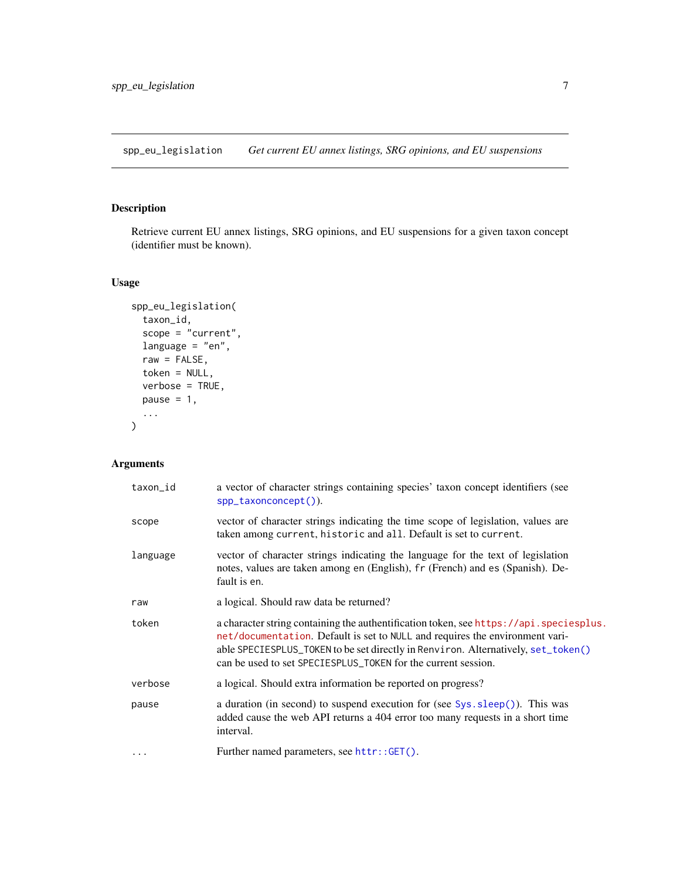<span id="page-6-0"></span>spp\_eu\_legislation *Get current EU annex listings, SRG opinions, and EU suspensions*

#### Description

Retrieve current EU annex listings, SRG opinions, and EU suspensions for a given taxon concept (identifier must be known).

#### Usage

```
spp_eu_legislation(
  taxon_id,
  scope = "current",
 language = "en",raw = FALSE,token = NULL,
  verbose = TRUE,
 pause = 1,
  ...
)
```
#### Arguments

| taxon_id  | a vector of character strings containing species' taxon concept identifiers (see<br>spp_taxonconcept()).                                                                                                                                                                                                                     |
|-----------|------------------------------------------------------------------------------------------------------------------------------------------------------------------------------------------------------------------------------------------------------------------------------------------------------------------------------|
| scope     | vector of character strings indicating the time scope of legislation, values are<br>taken among current, historic and all. Default is set to current.                                                                                                                                                                        |
| language  | vector of character strings indicating the language for the text of legislation<br>notes, values are taken among en (English), fr (French) and es (Spanish). De-<br>fault is en.                                                                                                                                             |
| raw       | a logical. Should raw data be returned?                                                                                                                                                                                                                                                                                      |
| token     | a character string containing the authentification token, see https://api.speciesplus.<br>net/documentation. Default is set to NULL and requires the environment vari-<br>able SPECIESPLUS_TOKEN to be set directly in Renviron. Alternatively, set_token()<br>can be used to set SPECIESPLUS_TOKEN for the current session. |
| verbose   | a logical. Should extra information be reported on progress?                                                                                                                                                                                                                                                                 |
| pause     | a duration (in second) to suspend execution for (see Sys. sleep()). This was<br>added cause the web API returns a 404 error too many requests in a short time<br>interval.                                                                                                                                                   |
| $\ddotsc$ | Further named parameters, see httr::GET().                                                                                                                                                                                                                                                                                   |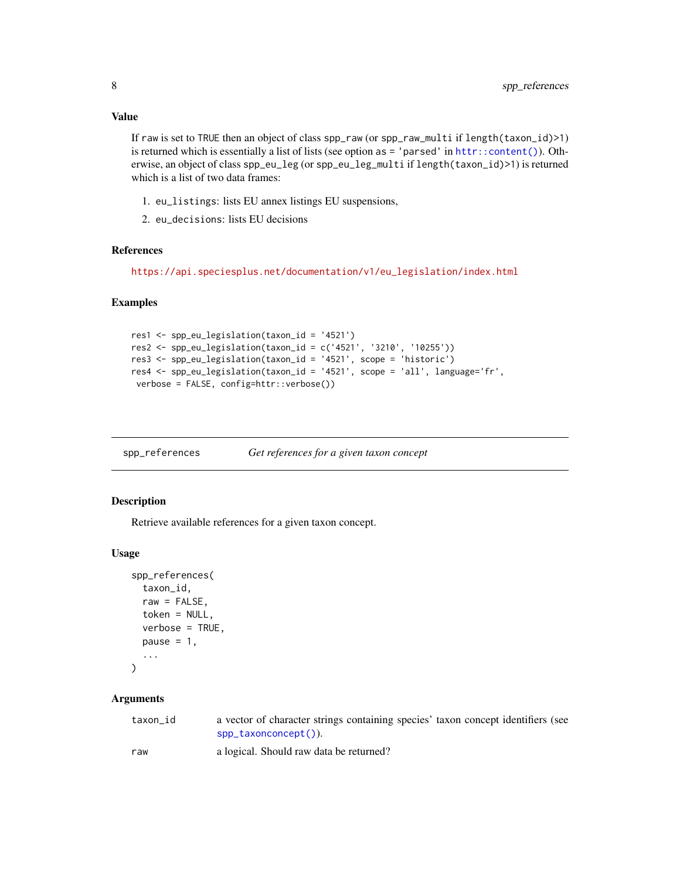#### <span id="page-7-0"></span>Value

If raw is set to TRUE then an object of class spp\_raw (or spp\_raw\_multi if length(taxon\_id)>1) is returned which is essentially a list of lists (see option as = 'parsed' in [httr::content\(\)](#page-0-0)). Otherwise, an object of class spp\_eu\_leg (or spp\_eu\_leg\_multi if length(taxon\_id)>1) is returned which is a list of two data frames:

- 1. eu\_listings: lists EU annex listings EU suspensions,
- 2. eu\_decisions: lists EU decisions

#### References

[https://api.speciesplus.net/documentation/v1/eu\\_legislation/index.html](https://api.speciesplus.net/documentation/v1/eu_legislation/index.html)

#### Examples

```
res1 <- spp_eu_legislation(taxon_id = '4521')
res2 <- spp_eu_legislation(taxon_id = c('4521', '3210', '10255'))
res3 <- spp_eu_legislation(taxon_id = '4521', scope = 'historic')
res4 <- spp_eu_legislation(taxon_id = '4521', scope = 'all', language='fr',
verbose = FALSE, config=httr::verbose())
```
spp\_references *Get references for a given taxon concept*

#### Description

Retrieve available references for a given taxon concept.

#### Usage

```
spp_references(
  taxon_id,
  raw = FALSE,token = NULL,
  verbose = TRUE,
 pause = 1,
  ...
```

```
)
```
#### Arguments

| taxon id | a vector of character strings containing species' taxon concept identifiers (see |  |
|----------|----------------------------------------------------------------------------------|--|
|          | $spp_{\text{-}}$ taxonconcept()).                                                |  |

raw a logical. Should raw data be returned?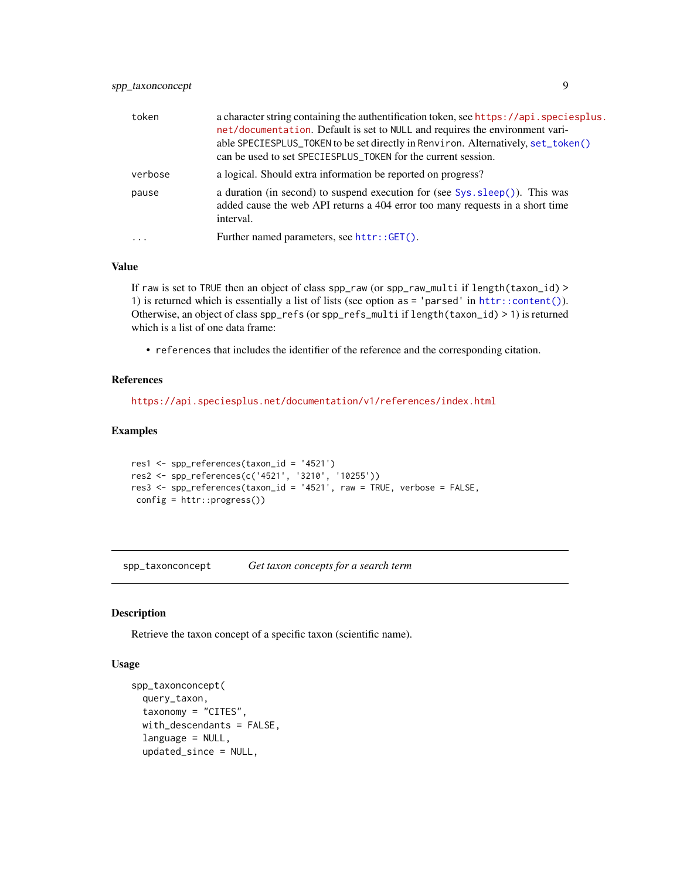<span id="page-8-0"></span>

| token   | a character string containing the authentification token, see https://api.speciesplus.<br>net/documentation. Default is set to NULL and requires the environment vari-<br>able SPECIESPLUS_TOKEN to be set directly in Renviron. Alternatively, set_token()<br>can be used to set SPECIESPLUS_TOKEN for the current session. |
|---------|------------------------------------------------------------------------------------------------------------------------------------------------------------------------------------------------------------------------------------------------------------------------------------------------------------------------------|
| verbose | a logical. Should extra information be reported on progress?                                                                                                                                                                                                                                                                 |
| pause   | a duration (in second) to suspend execution for (see $Sys \text{ .} sleep()$ ). This was<br>added cause the web API returns a 404 error too many requests in a short time<br>interval.                                                                                                                                       |
| $\cdot$ | Further named parameters, see httr::GET().                                                                                                                                                                                                                                                                                   |

#### Value

If raw is set to TRUE then an object of class spp\_raw (or spp\_raw\_multi if length(taxon\_id) > 1) is returned which is essentially a list of lists (see option as = 'parsed' in [httr::content\(\)](#page-0-0)). Otherwise, an object of class spp\_refs (or spp\_refs\_multi if length(taxon\_id) > 1) is returned which is a list of one data frame:

• references that includes the identifier of the reference and the corresponding citation.

#### References

<https://api.speciesplus.net/documentation/v1/references/index.html>

#### Examples

```
res1 <- spp_references(taxon_id = '4521')
res2 <- spp_references(c('4521', '3210', '10255'))
res3 <- spp_references(taxon_id = '4521', raw = TRUE, verbose = FALSE,
config = httr::progress())
```
<span id="page-8-1"></span>spp\_taxonconcept *Get taxon concepts for a search term*

#### Description

Retrieve the taxon concept of a specific taxon (scientific name).

#### Usage

```
spp_taxonconcept(
  query_taxon,
  taxonomy = "CITES",
  with_descendants = FALSE,
  language = NULL,
  updated_since = NULL,
```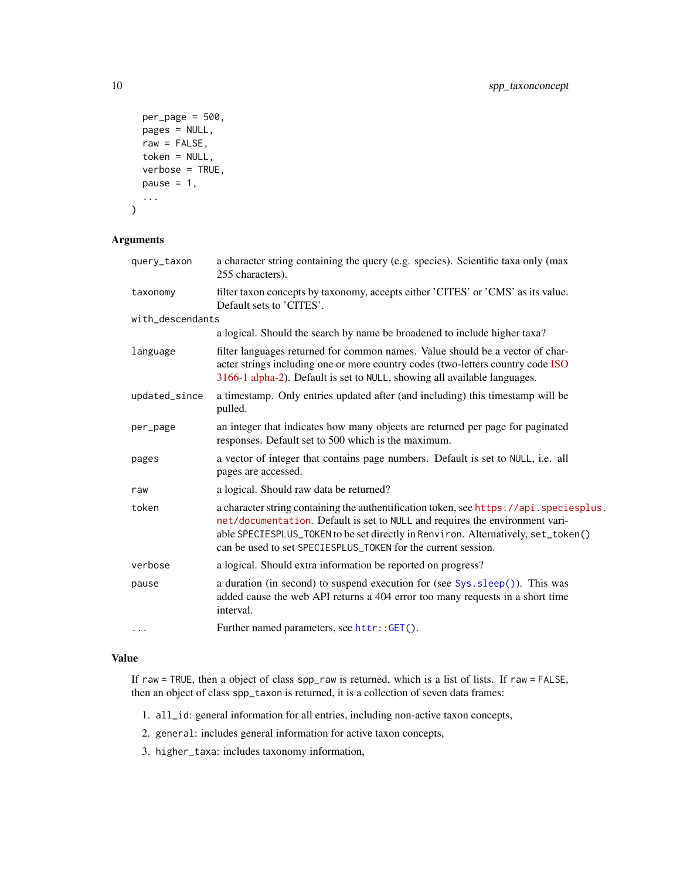```
per_{\text{page}} = 500,
  pages = NULL,
  raw = FALSE,token = NULL,
  verbose = TRUE,
  pause = 1,
  ...
\mathcal{L}
```
#### Arguments

| query_taxon      | a character string containing the query (e.g. species). Scientific taxa only (max<br>255 characters).                                                                                                                                                                                                                        |
|------------------|------------------------------------------------------------------------------------------------------------------------------------------------------------------------------------------------------------------------------------------------------------------------------------------------------------------------------|
| taxonomy         | filter taxon concepts by taxonomy, accepts either 'CITES' or 'CMS' as its value.<br>Default sets to 'CITES'.                                                                                                                                                                                                                 |
| with_descendants |                                                                                                                                                                                                                                                                                                                              |
|                  | a logical. Should the search by name be broadened to include higher taxa?                                                                                                                                                                                                                                                    |
| language         | filter languages returned for common names. Value should be a vector of char-<br>acter strings including one or more country codes (two-letters country code ISO<br>3166-1 alpha-2). Default is set to NULL, showing all available languages.                                                                                |
| updated_since    | a timestamp. Only entries updated after (and including) this timestamp will be<br>pulled.                                                                                                                                                                                                                                    |
| per_page         | an integer that indicates how many objects are returned per page for paginated<br>responses. Default set to 500 which is the maximum.                                                                                                                                                                                        |
| pages            | a vector of integer that contains page numbers. Default is set to NULL, i.e. all<br>pages are accessed.                                                                                                                                                                                                                      |
| raw              | a logical. Should raw data be returned?                                                                                                                                                                                                                                                                                      |
| token            | a character string containing the authentification token, see https://api.speciesplus.<br>net/documentation. Default is set to NULL and requires the environment vari-<br>able SPECIESPLUS_TOKEN to be set directly in Renviron. Alternatively, set_token()<br>can be used to set SPECIESPLUS_TOKEN for the current session. |
| verbose          | a logical. Should extra information be reported on progress?                                                                                                                                                                                                                                                                 |
| pause            | a duration (in second) to suspend execution for (see Sys. sleep()). This was<br>added cause the web API returns a 404 error too many requests in a short time<br>interval.                                                                                                                                                   |
| .                | Further named parameters, see httr::GET().                                                                                                                                                                                                                                                                                   |

#### Value

If raw = TRUE, then a object of class spp\_raw is returned, which is a list of lists. If raw = FALSE, then an object of class spp\_taxon is returned, it is a collection of seven data frames:

- 1. all\_id: general information for all entries, including non-active taxon concepts,
- 2. general: includes general information for active taxon concepts,
- 3. higher\_taxa: includes taxonomy information,

<span id="page-9-0"></span>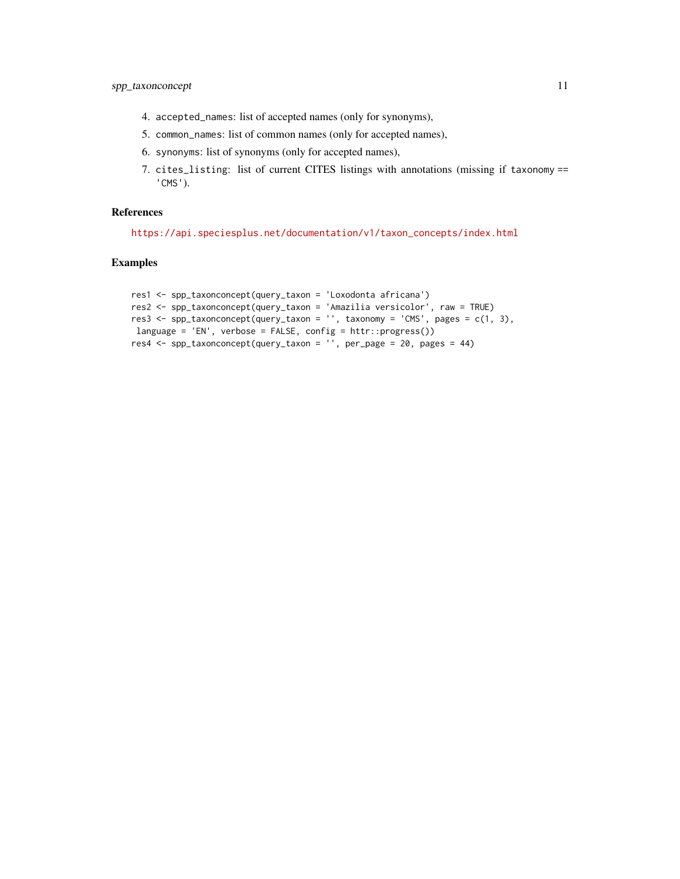- 4. accepted\_names: list of accepted names (only for synonyms),
- 5. common\_names: list of common names (only for accepted names),
- 6. synonyms: list of synonyms (only for accepted names),
- 7. cites\_listing: list of current CITES listings with annotations (missing if taxonomy == 'CMS').

#### References

[https://api.speciesplus.net/documentation/v1/taxon\\_concepts/index.html](https://api.speciesplus.net/documentation/v1/taxon_concepts/index.html)

#### Examples

```
res1 <- spp_taxonconcept(query_taxon = 'Loxodonta africana')
res2 <- spp_taxonconcept(query_taxon = 'Amazilia versicolor', raw = TRUE)
res3 <- spp_taxonconcept(query_taxon = '', taxonomy = 'CMS', pages = c(1, 3),
language = 'EN', verbose = FALSE, config = httr::progress())
res4 <- spp_taxonconcept(query_taxon = '', per_page = 20, pages = 44)
```